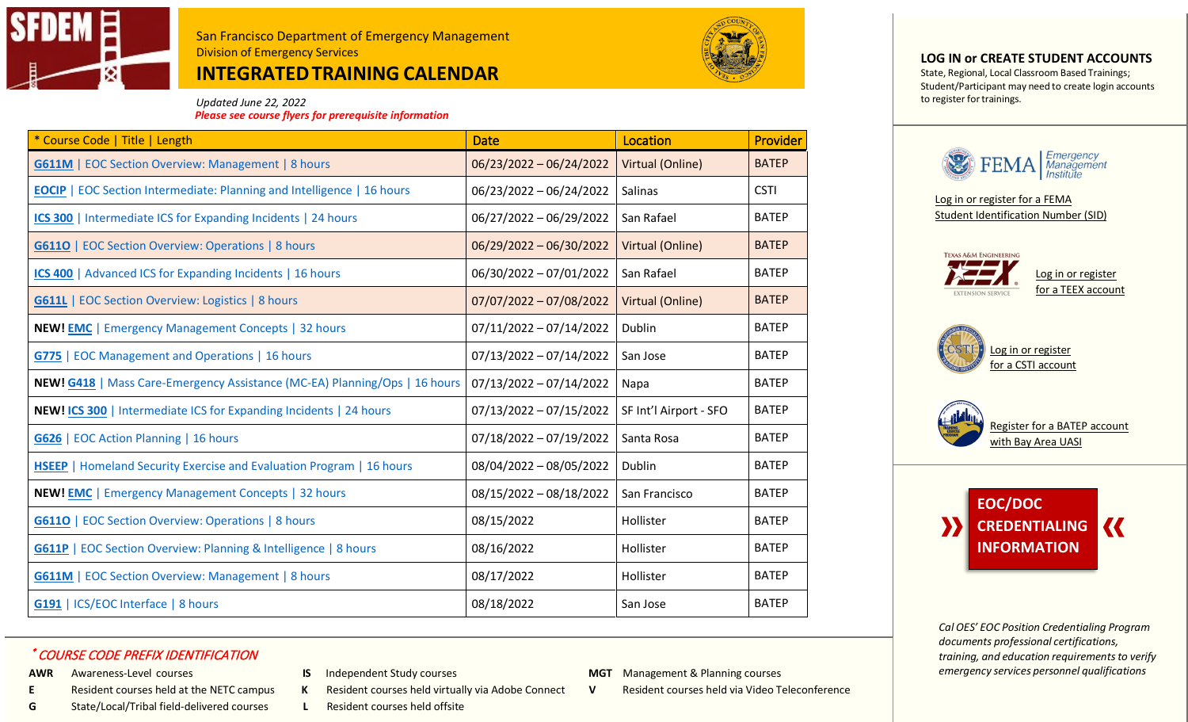

# **INTEGRATEDTRAINING CALENDAR**



 *Updated June 22, 2022 Please see course flyers for prerequisite information*

| * Course Code   Title   Length                                                    | <b>Date</b>               | Location               | <b>Provider</b> |
|-----------------------------------------------------------------------------------|---------------------------|------------------------|-----------------|
| <b>G611M</b>   EOC Section Overview: Management   8 hours                         | 06/23/2022 - 06/24/2022   | Virtual (Online)       | <b>BATEP</b>    |
| <b>EOCIP</b>   EOC Section Intermediate: Planning and Intelligence   16 hours     | 06/23/2022 - 06/24/2022   | Salinas                | <b>CSTI</b>     |
| ICS 300   Intermediate ICS for Expanding Incidents   24 hours                     | 06/27/2022 - 06/29/2022   | San Rafael             | <b>BATEP</b>    |
| <b>G6110</b>   EOC Section Overview: Operations   8 hours                         | $06/29/2022 - 06/30/2022$ | Virtual (Online)       | <b>BATEP</b>    |
| ICS 400   Advanced ICS for Expanding Incidents   16 hours                         | 06/30/2022 - 07/01/2022   | San Rafael             | <b>BATEP</b>    |
| <b>G611L</b>   EOC Section Overview: Logistics   8 hours                          | $07/07/2022 - 07/08/2022$ | Virtual (Online)       | <b>BATEP</b>    |
| <b>NEW! EMC   Emergency Management Concepts   32 hours</b>                        | $07/11/2022 - 07/14/2022$ | Dublin                 | <b>BATEP</b>    |
| <b>G775</b>   EOC Management and Operations   16 hours                            | $07/13/2022 - 07/14/2022$ | San Jose               | <b>BATEP</b>    |
| <b>NEW! G418</b>   Mass Care-Emergency Assistance (MC-EA) Planning/Ops   16 hours | $07/13/2022 - 07/14/2022$ | Napa                   | <b>BATEP</b>    |
| NEW! ICS 300   Intermediate ICS for Expanding Incidents   24 hours                | 07/13/2022 - 07/15/2022   | SF Int'l Airport - SFO | <b>BATEP</b>    |
| G626   EOC Action Planning   16 hours                                             | 07/18/2022 - 07/19/2022   | Santa Rosa             | <b>BATEP</b>    |
| <b>HSEEP</b>   Homeland Security Exercise and Evaluation Program   16 hours       | 08/04/2022 - 08/05/2022   | Dublin                 | <b>BATEP</b>    |
| <b>NEW! EMC   Emergency Management Concepts   32 hours</b>                        | 08/15/2022 - 08/18/2022   | San Francisco          | <b>BATEP</b>    |
| <b>G6110</b>   EOC Section Overview: Operations   8 hours                         | 08/15/2022                | Hollister              | <b>BATEP</b>    |
| G611P   EOC Section Overview: Planning & Intelligence   8 hours                   | 08/16/2022                | Hollister              | <b>BATEP</b>    |
| <b>G611M</b>   EOC Section Overview: Management   8 hours                         | 08/17/2022                | Hollister              | <b>BATEP</b>    |
| <b>G191</b>   ICS/EOC Interface   8 hours                                         | 08/18/2022                | San Jose               | <b>BATEP</b>    |

### \* COURSE CODE PREFIX IDENTIFICATION

- 
- 
- **G** State/Local/Tribal field-delivered courses **L** Resident courses held offsite
- 
- **E** Resident courses held at the NETC campus **K** Resident courses held virtually via Adobe Connect **V** Resident courses held via Video Teleconference
	-
- AWR Awareness-Level courses **IS** Independent Study courses **MGT** Management & Planning courses
	-

#### **LOG IN or CREATE STUDENT ACCOUNTS**

State, Regional, Local Classroom Based Trainings; Student/Participant may need to create login accounts to register for trainings.



[Log in or register for a FEMA](https://cdp.dhs.gov/femasid)  [Student Identification Number \(SID\)](https://cdp.dhs.gov/femasid)









*Cal OES' EOC Position Credentialing Program documents professional certifications, training, and education requirementsto verify emergency services personnel qualifications*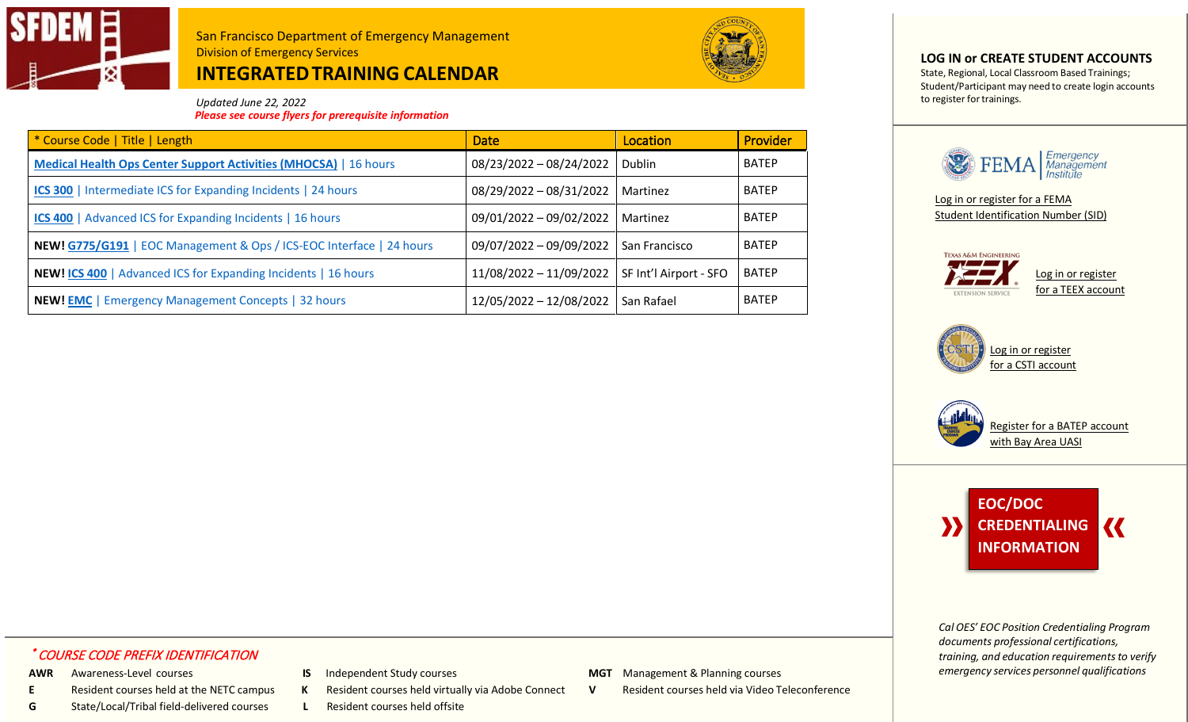

# **INTEGRATEDTRAINING CALENDAR**



 *Updated June 22, 2022 Please see course flyers for prerequisite information*

| * Course Code   Title   Length                                          | <b>Date</b>             | Location               | Provider     |
|-------------------------------------------------------------------------|-------------------------|------------------------|--------------|
| <b>Medical Health Ops Center Support Activities (MHOCSA)</b>   16 hours | 08/23/2022 - 08/24/2022 | Dublin                 | <b>BATEP</b> |
| ICS 300   Intermediate ICS for Expanding Incidents   24 hours           | 08/29/2022 - 08/31/2022 | Martinez               | <b>BATEP</b> |
| <b>ICS 400</b>   Advanced ICS for Expanding Incidents   16 hours        | 09/01/2022 - 09/02/2022 | Martinez               | <b>BATEP</b> |
| NEW! G775/G191   EOC Management & Ops / ICS-EOC Interface   24 hours    | 09/07/2022 - 09/09/2022 | San Francisco          | <b>BATEP</b> |
| <b>NEW! ICS 400</b>   Advanced ICS for Expanding Incidents   16 hours   | 11/08/2022 - 11/09/2022 | SF Int'l Airport - SFO | <b>BATEP</b> |
| <b>NEW! EMC</b>   Emergency Management Concepts   32 hours              | 12/05/2022 - 12/08/2022 | San Rafael             | <b>BATEP</b> |

**LOG IN or CREATE STUDENT ACCOUNTS**

State, Regional, Local Classroom Based Trainings; Student/Participant may need to create login accounts to register for trainings.



[Log in or register for a FEMA](https://cdp.dhs.gov/femasid)  [Student Identification Number \(SID\)](https://cdp.dhs.gov/femasid)









*Cal OES' EOC Position Credentialing Program documents professional certifications, training, and education requirementsto verify emergency services personnel qualifications*

## \* COURSE CODE PREFIX IDENTIFICATION

- 
- 
- **G** State/Local/Tribal field-delivered courses **L** Resident courses held offsite
- 
- **E** Resident courses held at the NETC campus **K** Resident courses held virtually via Adobe Connect **V** Resident courses held via Video Teleconference
	-
- AWR Awareness-Level courses **IS** Independent Study courses **MGT** Management & Planning courses
	-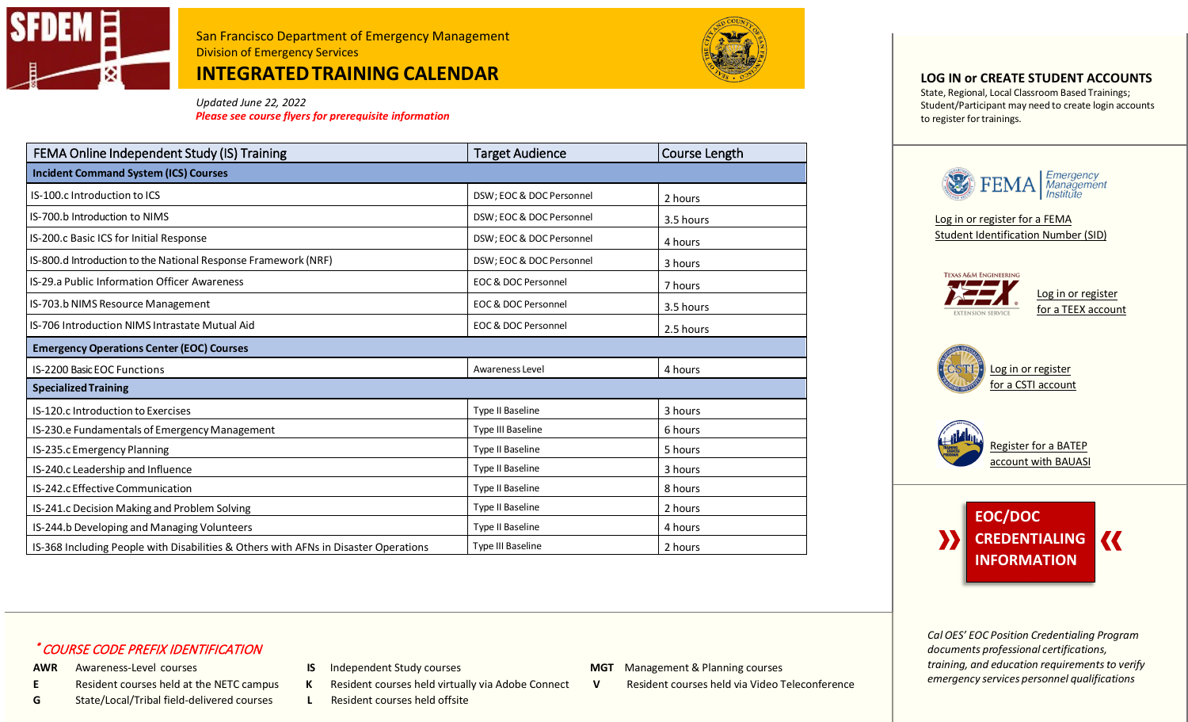

**INTEGRATEDTRAINING CALENDAR**



*Updated June 22, 2022*

*Please see course flyers for prerequisite information*

| FEMA Online Independent Study (IS) Training                                         | <b>Target Audience</b>         | Course Length |  |  |
|-------------------------------------------------------------------------------------|--------------------------------|---------------|--|--|
| <b>Incident Command System (ICS) Courses</b>                                        |                                |               |  |  |
| IS-100.c Introduction to ICS                                                        | DSW; EOC & DOC Personnel       | 2 hours       |  |  |
| IS-700.b Introduction to NIMS                                                       | DSW; EOC & DOC Personnel       | 3.5 hours     |  |  |
| IS-200.c Basic ICS for Initial Response                                             | DSW; EOC & DOC Personnel       | 4 hours       |  |  |
| IS-800.d Introduction to the National Response Framework (NRF)                      | DSW; EOC & DOC Personnel       | 3 hours       |  |  |
| IS-29.a Public Information Officer Awareness                                        | <b>EOC &amp; DOC Personnel</b> | 7 hours       |  |  |
| IS-703.b NIMS Resource Management                                                   | <b>EOC &amp; DOC Personnel</b> | 3.5 hours     |  |  |
| IS-706 Introduction NIMS Intrastate Mutual Aid                                      | <b>EOC &amp; DOC Personnel</b> | 2.5 hours     |  |  |
| <b>Emergency Operations Center (EOC) Courses</b>                                    |                                |               |  |  |
| <b>IS-2200 Basic EOC Functions</b>                                                  | Awareness Level                | 4 hours       |  |  |
| <b>Specialized Training</b>                                                         |                                |               |  |  |
| IS-120.c Introduction to Exercises                                                  | Type II Baseline               | 3 hours       |  |  |
| IS-230.e Fundamentals of Emergency Management                                       | Type III Baseline              | 6 hours       |  |  |
| IS-235.c Emergency Planning                                                         | <b>Type II Baseline</b>        | 5 hours       |  |  |
| IS-240.c Leadership and Influence                                                   | Type II Baseline               | 3 hours       |  |  |
| IS-242.c Effective Communication                                                    | Type II Baseline               | 8 hours       |  |  |
| IS-241.c Decision Making and Problem Solving                                        | Type II Baseline               | 2 hours       |  |  |
| IS-244.b Developing and Managing Volunteers                                         | Type II Baseline               | 4 hours       |  |  |
| IS-368 Including People with Disabilities & Others with AFNs in Disaster Operations | Type III Baseline              | 2 hours       |  |  |

## **LOG IN or CREATE STUDENT ACCOUNTS**

State, Regional, Local Classroom Based Trainings; Student/Participant may need to create login accounts to register for trainings.



[Log in or register for a FEMA](https://cdp.dhs.gov/femasid)  [Student Identification Number \(SID\)](https://cdp.dhs.gov/femasid)



[Log in or register](https://csti-ca.csod.com/client/Csti-Ca/default.aspx)  [for a CSTI account](https://csti-ca.csod.com/client/Csti-Ca/default.aspx)





*Cal OES' EOC Position Credentialing Program documents professional certifications, training, and education requirementsto verify emergency services personnel qualifications*

## \* COURSE CODE PREFIX IDENTIFICATION

- 
- **G** State/Local/Tribal field-delivered courses **L** Resident courses held offsite
- 
- -
- AWR Awareness-Level courses **IS** Independent Study courses **MGT** Management & Planning courses
- **E** Resident courses held at the NETC campus **K** Resident courses held virtually via Adobe Connect **V** Resident courses held via Video Teleconference